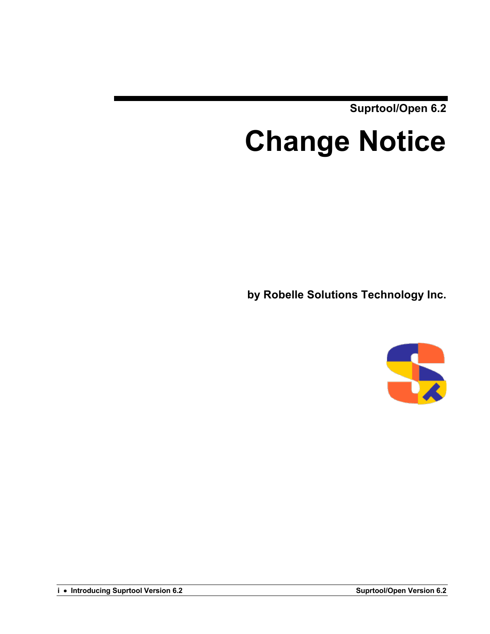**Suprtool/Open 6.2**

# **Change Notice**

**by Robelle Solutions Technology Inc.**

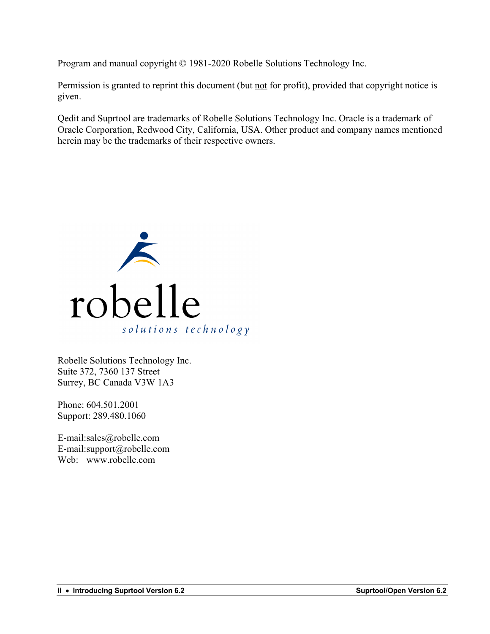Program and manual copyright © 1981-2020 Robelle Solutions Technology Inc.

Permission is granted to reprint this document (but not for profit), provided that copyright notice is given.

Qedit and Suprtool are trademarks of Robelle Solutions Technology Inc. Oracle is a trademark of Oracle Corporation, Redwood City, California, USA. Other product and company names mentioned herein may be the trademarks of their respective owners.



Robelle Solutions Technology Inc. Suite 372, 7360 137 Street Surrey, BC Canada V3W 1A3

Phone: 604.501.2001 Support: 289.480.1060

E-mail:sales@robelle.com E-mail:support@robelle.com Web: www.robelle.com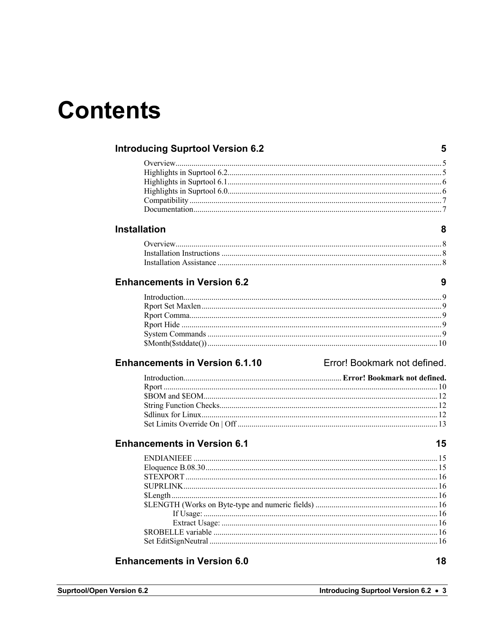### **Contents**

| <b>Introducing Suprtool Version 6.2</b> | 5                            |
|-----------------------------------------|------------------------------|
|                                         |                              |
|                                         |                              |
|                                         |                              |
|                                         |                              |
|                                         |                              |
|                                         |                              |
| <b>Installation</b>                     | 8                            |
|                                         |                              |
|                                         |                              |
|                                         |                              |
| <b>Enhancements in Version 6.2</b>      | 9                            |
|                                         |                              |
|                                         |                              |
|                                         |                              |
|                                         |                              |
|                                         |                              |
|                                         |                              |
| <b>Enhancements in Version 6.1.10</b>   | Error! Bookmark not defined. |
|                                         |                              |
|                                         |                              |
|                                         |                              |
|                                         |                              |
|                                         |                              |
|                                         |                              |
| <b>Enhancements in Version 6.1</b>      | 15                           |
|                                         |                              |
|                                         |                              |
|                                         |                              |
|                                         |                              |
|                                         |                              |
|                                         |                              |
|                                         |                              |
|                                         |                              |
|                                         |                              |
|                                         |                              |
| <b>Enhancements in Version 6.0</b>      | 18                           |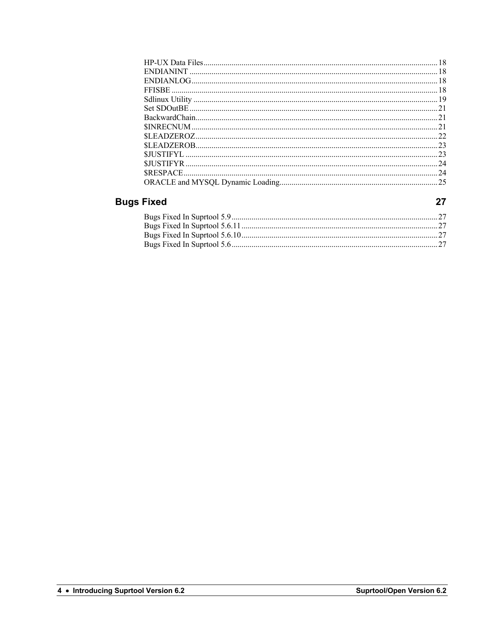| 24 |
|----|
|    |

#### **Bugs Fixed**

 $27$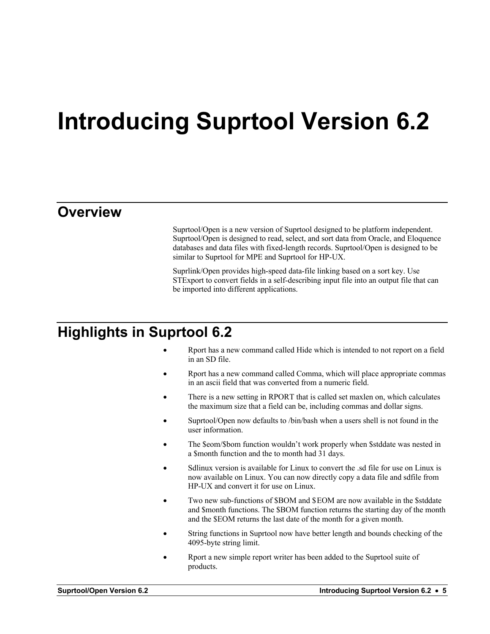### **Introducing Suprtool Version 6.2**

#### **Overview**

Suprtool/Open is a new version of Suprtool designed to be platform independent. Suprtool/Open is designed to read, select, and sort data from Oracle, and Eloquence databases and data files with fixed-length records. Suprtool/Open is designed to be similar to Suprtool for MPE and Suprtool for HP-UX.

Suprlink/Open provides high-speed data-file linking based on a sort key. Use STExport to convert fields in a self-describing input file into an output file that can be imported into different applications.

#### **Highlights in Suprtool 6.2**

- Rport has a new command called Hide which is intended to not report on a field in an SD file.
- Rport has a new command called Comma, which will place appropriate commas in an ascii field that was converted from a numeric field.
- There is a new setting in RPORT that is called set maxlen on, which calculates the maximum size that a field can be, including commas and dollar signs.
- Suprtool/Open now defaults to /bin/bash when a users shell is not found in the user information.
- The \$eom/\$bom function wouldn't work properly when \$stddate was nested in a \$month function and the to month had 31 days.
- Sdlinux version is available for Linux to convert the .sd file for use on Linux is now available on Linux. You can now directly copy a data file and sdfile from HP-UX and convert it for use on Linux.
- Two new sub-functions of \$BOM and \$EOM are now available in the \$stddate and \$month functions. The \$BOM function returns the starting day of the month and the \$EOM returns the last date of the month for a given month.
- String functions in Suprtool now have better length and bounds checking of the 4095-byte string limit.
- Rport a new simple report writer has been added to the Suprtool suite of products.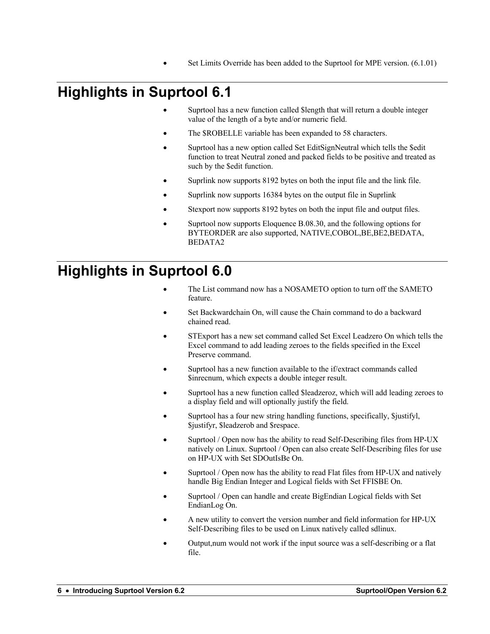• Set Limits Override has been added to the Suprtool for MPE version. (6.1.01)

### **Highlights in Suprtool 6.1**

- Suprtool has a new function called \$length that will return a double integer value of the length of a byte and/or numeric field.
- The \$ROBELLE variable has been expanded to 58 characters.
- Suprtool has a new option called Set EditSignNeutral which tells the \$edit function to treat Neutral zoned and packed fields to be positive and treated as such by the \$edit function.
- Suprlink now supports 8192 bytes on both the input file and the link file.
- Suprlink now supports 16384 bytes on the output file in Suprlink
- Stexport now supports 8192 bytes on both the input file and output files.
- Suprtool now supports Eloquence B.08.30, and the following options for BYTEORDER are also supported, NATIVE,COBOL,BE,BE2,BEDATA, BEDATA2

#### **Highlights in Suprtool 6.0**

- The List command now has a NOSAMETO option to turn off the SAMETO feature.
- Set Backwardchain On, will cause the Chain command to do a backward chained read.
- STExport has a new set command called Set Excel Leadzero On which tells the Excel command to add leading zeroes to the fields specified in the Excel Preserve command.
- Suprtool has a new function available to the if/extract commands called \$inrecnum, which expects a double integer result.
- Suprtool has a new function called \$leadzeroz, which will add leading zeroes to a display field and will optionally justify the field.
- Suprtool has a four new string handling functions, specifically, \$justifyl, \$justifyr, \$leadzerob and \$respace.
- Suprtool / Open now has the ability to read Self-Describing files from HP-UX natively on Linux. Suprtool / Open can also create Self-Describing files for use on HP-UX with Set SDOutIsBe On.
- Suprtool / Open now has the ability to read Flat files from HP-UX and natively handle Big Endian Integer and Logical fields with Set FFISBE On.
- Suprtool / Open can handle and create BigEndian Logical fields with Set EndianLog On.
- A new utility to convert the version number and field information for HP-UX Self-Describing files to be used on Linux natively called sdlinux.
- Output,num would not work if the input source was a self-describing or a flat file.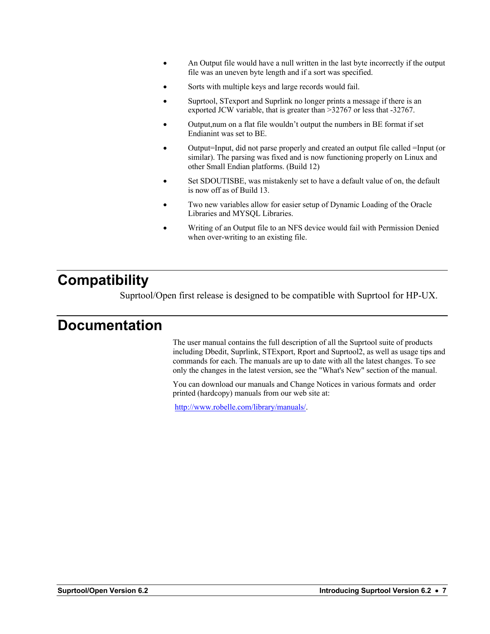- An Output file would have a null written in the last byte incorrectly if the output file was an uneven byte length and if a sort was specified.
- Sorts with multiple keys and large records would fail.
- Suprtool, STexport and Suprlink no longer prints a message if there is an exported JCW variable, that is greater than >32767 or less that -32767.
- Output,num on a flat file wouldn't output the numbers in BE format if set Endianint was set to BE.
- Output=Input, did not parse properly and created an output file called =Input (or similar). The parsing was fixed and is now functioning properly on Linux and other Small Endian platforms. (Build 12)
- Set SDOUTISBE, was mistakenly set to have a default value of on, the default is now off as of Build 13.
- Two new variables allow for easier setup of Dynamic Loading of the Oracle Libraries and MYSQL Libraries.
- Writing of an Output file to an NFS device would fail with Permission Denied when over-writing to an existing file.

#### **Compatibility**

Suprtool/Open first release is designed to be compatible with Suprtool for HP-UX.

#### **Documentation**

The user manual contains the full description of all the Suprtool suite of products including Dbedit, Suprlink, STExport, Rport and Suprtool2, as well as usage tips and commands for each. The manuals are up to date with all the latest changes. To see only the changes in the latest version, see the "What's New" section of the manual.

You can download our manuals and Change Notices in various formats and order printed (hardcopy) manuals from our web site at:

http://www.robelle.com/library/manuals/.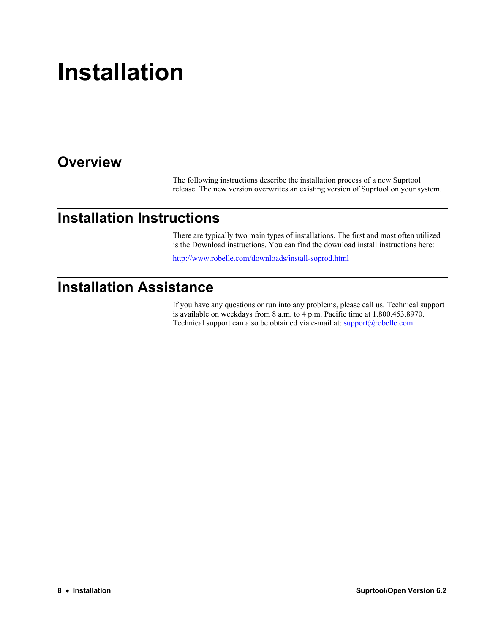## **Installation**

#### **Overview**

The following instructions describe the installation process of a new Suprtool release. The new version overwrites an existing version of Suprtool on your system.

#### **Installation Instructions**

There are typically two main types of installations. The first and most often utilized is the Download instructions. You can find the download install instructions here:

http://www.robelle.com/downloads/install-soprod.html

#### **Installation Assistance**

If you have any questions or run into any problems, please call us. Technical support is available on weekdays from 8 a.m. to 4 p.m. Pacific time at 1.800.453.8970. Technical support can also be obtained via e-mail at: support@robelle.com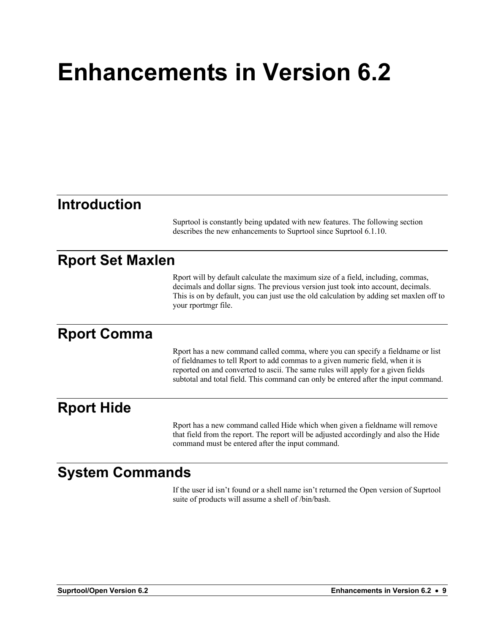## **Enhancements in Version 6.2**

#### **Introduction**

Suprtool is constantly being updated with new features. The following section describes the new enhancements to Suprtool since Suprtool 6.1.10.

#### **Rport Set Maxlen**

Rport will by default calculate the maximum size of a field, including, commas, decimals and dollar signs. The previous version just took into account, decimals. This is on by default, you can just use the old calculation by adding set maxlen off to your rportmgr file.

#### **Rport Comma**

Rport has a new command called comma, where you can specify a fieldname or list of fieldnames to tell Rport to add commas to a given numeric field, when it is reported on and converted to ascii. The same rules will apply for a given fields subtotal and total field. This command can only be entered after the input command.

#### **Rport Hide**

Rport has a new command called Hide which when given a fieldname will remove that field from the report. The report will be adjusted accordingly and also the Hide command must be entered after the input command.

#### **System Commands**

If the user id isn't found or a shell name isn't returned the Open version of Suprtool suite of products will assume a shell of /bin/bash.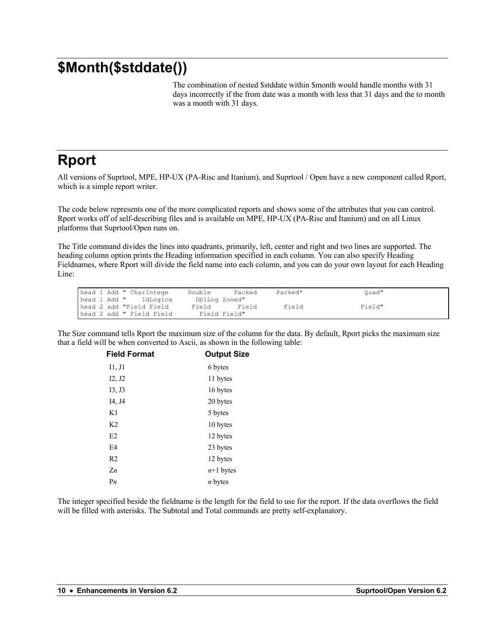#### **\$Month(\$stddate())**

The combination of nested \$stddate within \$month would handle months with 31 days incorrectly if the from date was a month with less that 31 days and the to month was a month with 31 days.

#### **Rport**

All versions of Suprtool, MPE, HP-UX (PA-Risc and Itanium), and Suprtool / Open have a new component called Rport, which is a simple report writer.

The code below represents one of the more complicated reports and shows some of the attributes that you can control. Rport works off of self-describing files and is available on MPE, HP-UX (PA-Risc and Itanium) and on all Linux platforms that Suprtool/Open runs on.

The Title command divides the lines into quadrants, primarily, left, center and right and two lines are supported. The heading column option prints the Heading information specified in each column. You can also specify Heading Fieldnames, where Rport will divide the field name into each column, and you can do your own layout for each Heading Line:

| head 1 Add " CharIntege  | Double        | Packed | Packed* | Ouad"  |
|--------------------------|---------------|--------|---------|--------|
| head 1 Add " IdLogica    | DblLog Zoned" |        |         |        |
| head 2 add "Field Field  | Field         | Field  | Field   | Field" |
| head 2 add " Field Field | Field Field"  |        |         |        |

The Size command tells Rport the maximum size of the column for the data. By default, Rport picks the maximum size that a field will be when converted to Ascii, as shown in the following table:

| <b>Field Format</b> | <b>Output Size</b> |
|---------------------|--------------------|
| I1, J1              | 6 bytes            |
| I2, J2              | 11 bytes           |
| I3, J3              | 16 bytes           |
| I4, J4              | 20 bytes           |
| K1                  | 5 bytes            |
| K <sub>2</sub>      | 10 bytes           |
| E2                  | 12 bytes           |
| E <sub>4</sub>      | 23 bytes           |
| R <sub>2</sub>      | 12 bytes           |
| $Z_n$               | $n+1$ bytes        |
| P <sub>n</sub>      | <i>n</i> bytes     |
|                     |                    |

The integer specified beside the fieldname is the length for the field to use for the report. If the data overflows the field will be filled with asterisks. The Subtotal and Total commands are pretty self-explanatory.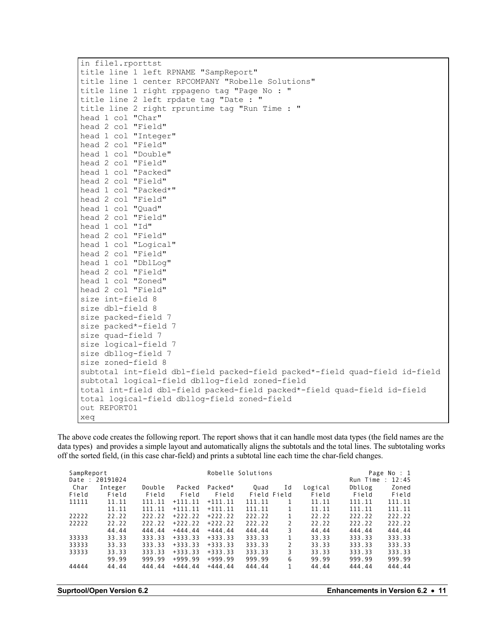| in file1.rporttst                                                           |
|-----------------------------------------------------------------------------|
| title line 1 left RPNAME "SampReport"                                       |
| title line 1 center RPCOMPANY "Robelle Solutions"                           |
| title line 1 right rppageno tag "Page No : "                                |
| title line 2 left rpdate tag "Date : "                                      |
| title line 2 right rpruntime tag "Run Time : "                              |
| head 1 col "Char"                                                           |
| head 2 col "Field"                                                          |
| head 1 col "Integer"                                                        |
| head 2 col "Field"                                                          |
| head 1 col "Double"                                                         |
| head 2 col "Field"                                                          |
| head 1 col "Packed"                                                         |
| head 2 col "Field"                                                          |
| head 1 col "Packed*"                                                        |
| head 2 col "Field"                                                          |
| head 1 col "Quad"                                                           |
| head 2 col "Field"                                                          |
| head 1 col "Id"                                                             |
| head 2 col "Field"                                                          |
| head 1 col "Logical"                                                        |
| head 2 col "Field"                                                          |
| head 1 col "DblLoq"                                                         |
| head 2 col "Field"                                                          |
| head 1 col "Zoned"                                                          |
| head 2 col "Field"                                                          |
| size int-field 8                                                            |
| size dbl-field 8                                                            |
| size packed-field 7                                                         |
| size packed*-field 7                                                        |
| size quad-field 7                                                           |
| size logical-field 7                                                        |
| size dbllog-field 7                                                         |
| size zoned-field 8                                                          |
| subtotal int-field dbl-field packed-field packed*-field quad-field id-field |
| subtotal logical-field dbllog-field zoned-field                             |
| total int-field dbl-field packed-field packed*-field quad-field id-field    |
| total logical-field dbllog-field zoned-field                                |
| out REPORT01                                                                |
| xeq                                                                         |

The above code creates the following report. The report shows that it can handle most data types (the field names are the data types) and provides a simple layout and automatically aligns the subtotals and the total lines. The subtotaling works off the sorted field, (in this case char-field) and prints a subtotal line each time the char-field changes.

| SampReport<br>Date<br>$\cdot$ | 20191024 |        |           |           | Robelle Solutions |               |         | Run Time: | Page No : 1<br>12:45 |
|-------------------------------|----------|--------|-----------|-----------|-------------------|---------------|---------|-----------|----------------------|
| Char                          | Integer  | Double | Packed    | Packed*   | Ouad              | Ιd            | Logical | DblLog    | Zoned                |
| Field                         | Field    | Field  | Field     | Field     | Field Field       |               | Field   | Field     | Field                |
| 11111                         | 11.11    | 111.11 | $+111.11$ | $+111.11$ | 111.11            |               | 11.11   | 111.11    | 111.11               |
|                               | 11.11    | 111.11 | $+111.11$ | $+111.11$ | 111.11            |               | 11.11   | 111.11    | 111.11               |
| 22222                         | 22.22    | 222.22 | $+222.22$ | $+222.22$ | 222.22            |               | 22.22   | 222.22    | 222.22               |
| 22222                         | 22.22    | 222.22 | $+222.22$ | $+222.22$ | 222.22            | 2             | 22.22   | 222.22    | 222.22               |
|                               | 44.44    | 444.44 | $+444.44$ | $+444.44$ | 444.44            | 3             | 44.44   | 444.44    | 444.44               |
| 33333                         | 33.33    | 333.33 | $+333.33$ | $+333.33$ | 333.33            |               | 33.33   | 333.33    | 333.33               |
| 33333                         | 33.33    | 333.33 | $+333.33$ | $+333.33$ | 333.33            | $\mathcal{P}$ | 33.33   | 333.33    | 333.33               |
| 33333                         | 33.33    | 333.33 | $+333.33$ | $+333.33$ | 333.33            | 3             | 33.33   | 333.33    | 333.33               |
|                               | 99.99    | 999.99 | $+999.99$ | $+999.99$ | 999.99            | 6             | 99.99   | 999.99    | 999.99               |
| 44444                         | 44.44    | 444.44 | $+444.44$ | $+444.44$ | 444.44            |               | 44.44   | 444.44    | 444.44               |
|                               |          |        |           |           |                   |               |         |           |                      |

| Suprtool/Open Version 6.2 |  |  |  |
|---------------------------|--|--|--|
|---------------------------|--|--|--|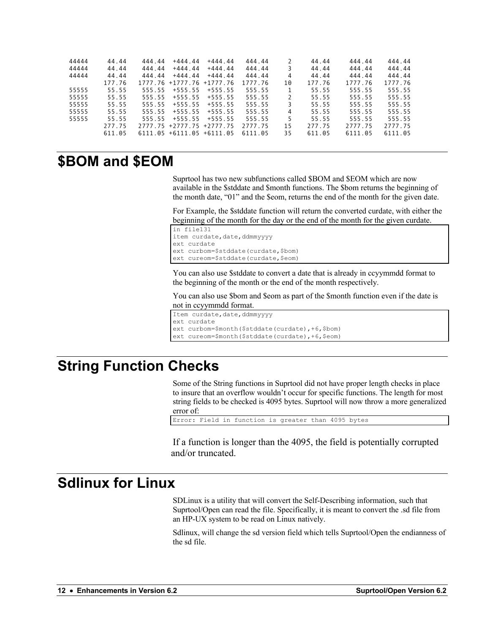| 44444 | 44.44  | 444.44 | $+444.44$                     | $+444.44$  | 444.44  |    | 44.44  | 444.44  | 444.44  |
|-------|--------|--------|-------------------------------|------------|---------|----|--------|---------|---------|
| 44444 | 44.44  | 444.44 | $+444.44$                     | $+444.44$  | 444.44  |    | 44.44  | 444.44  | 444.44  |
| 44444 | 44.44  | 444.44 | $+444.44$                     | $+444.44$  | 444.44  | 4  | 44.44  | 444.44  | 444.44  |
|       | 177.76 |        | 1777.76 +1777.76              | $+1777.76$ | 1777.76 | 10 | 177.76 | 1777.76 | 1777.76 |
| 55555 | 55.55  | 555.55 | $+555.55$                     | $+555.55$  | 555.55  |    | 55.55  | 555.55  | 555.55  |
| 55555 | 55.55  | 555.55 | $+555.55$                     | $+555.55$  | 555.55  |    | 55.55  | 555.55  | 555.55  |
| 55555 | 55.55  | 555.55 | $+555.55$                     | $+555.55$  | 555.55  |    | 55.55  | 555.55  | 555.55  |
| 55555 | 55.55  | 555.55 | $+555.55$                     | $+555.55$  | 555.55  | 4  | 55.55  | 555.55  | 555.55  |
| 55555 | 55.55  | 555.55 | $+555.55$                     | $+555.55$  | 555.55  |    | 55.55  | 555.55  | 555.55  |
|       | 277.75 |        | 2777.75 +2777.75 +2777.75     |            | 2777.75 | 15 | 277.75 | 2777.75 | 2777.75 |
|       | 611.05 |        | $6111.05 + 6111.05 + 6111.05$ |            | 6111.05 | 35 | 611.05 | 6111.05 | 6111.05 |

#### **\$BOM and \$EOM**

Suprtool has two new subfunctions called \$BOM and \$EOM which are now available in the \$stddate and \$month functions. The \$bom returns the beginning of the month date, "01" and the \$eom, returns the end of the month for the given date.

For Example, the \$stddate function will return the converted curdate, with either the beginning of the month for the day or the end of the month for the given curdate.

```
in file131
item curdate, date, ddmmyyyy
ext curdate
ext curbom=$stddate(curdate,$bom)
ext cureom=$stddate(curdate, $eom)
```
You can also use \$stddate to convert a date that is already in ccyymmdd format to the beginning of the month or the end of the month respectively.

You can also use \$bom and \$eom as part of the \$month function even if the date is not in ccyymmdd format.

```
Item curdate, date, ddmmyyyy
ext curdate
ext curbom=$month($stddate(curdate),+6,$bom)
ext cureom=$month($stddate(curdate),+6,$eom)
```
#### **String Function Checks**

Some of the String functions in Suprtool did not have proper length checks in place to insure that an overflow wouldn't occur for specific functions. The length for most string fields to be checked is 4095 bytes. Suprtool will now throw a more generalized error of:

```
Error: Field in function is greater than 4095 bytes
```
If a function is longer than the 4095, the field is potentially corrupted and/or truncated.

#### **Sdlinux for Linux**

SDLinux is a utility that will convert the Self-Describing information, such that Suprtool/Open can read the file. Specifically, it is meant to convert the .sd file from an HP-UX system to be read on Linux natively.

Sdlinux, will change the sd version field which tells Suprtool/Open the endianness of the sd file.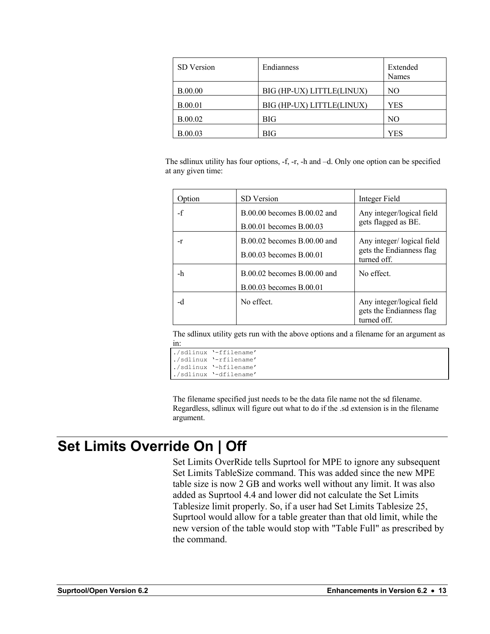| SD Version     | Endianness                | Extended<br>Names |
|----------------|---------------------------|-------------------|
| <b>B.00.00</b> | BIG (HP-UX) LITTLE(LINUX) | NO.               |
| <b>B.00.01</b> | BIG (HP-UX) LITTLE(LINUX) | <b>YES</b>        |
| <b>B.00.02</b> | <b>BIG</b>                | N <sub>O</sub>    |
| <b>B.00.03</b> | <b>BIG</b>                | YES               |

The sdlinux utility has four options, -f, -r, -h and –d. Only one option can be specified at any given time:

| Option | <b>SD</b> Version                                          | Integer Field                                                        |
|--------|------------------------------------------------------------|----------------------------------------------------------------------|
| $-f$   | $B.00.00$ becomes $B.00.02$ and<br>B.00.01 becomes B.00.03 | Any integer/logical field<br>gets flagged as BE.                     |
| -r     | $B.00.02$ becomes $B.00.00$ and<br>B.00.03 becomes B.00.01 | Any integer/logical field<br>gets the Endianness flag<br>turned off. |
| -h     | B.00.02 becomes B.00.00 and<br>B.00.03 becomes B.00.01     | No effect.                                                           |
| -d     | No effect.                                                 | Any integer/logical field<br>gets the Endianness flag<br>turned off. |

The sdlinux utility gets run with the above options and a filename for an argument as in:

```
./sdlinux '-ffilename'
./sdlinux '-rfilename'
./sdlinux '-hfilename'
./sdlinux '-dfilename'
```
The filename specified just needs to be the data file name not the sd filename. Regardless, sdlinux will figure out what to do if the .sd extension is in the filename argument.

#### **Set Limits Override On | Off**

Set Limits OverRide tells Suprtool for MPE to ignore any subsequent Set Limits TableSize command. This was added since the new MPE table size is now 2 GB and works well without any limit. It was also added as Suprtool 4.4 and lower did not calculate the Set Limits Tablesize limit properly. So, if a user had Set Limits Tablesize 25, Suprtool would allow for a table greater than that old limit, while the new version of the table would stop with "Table Full" as prescribed by the command.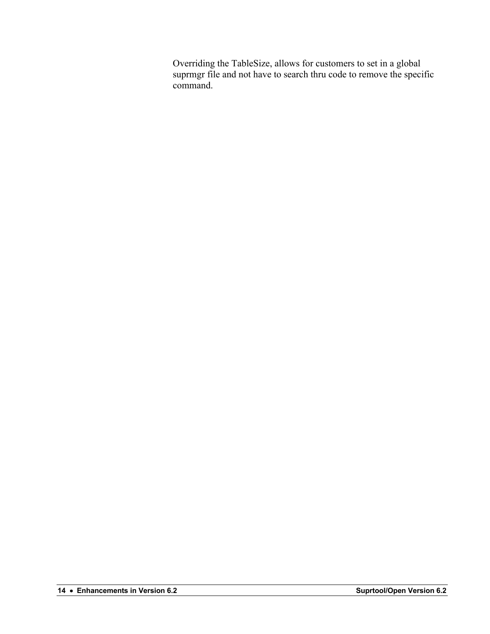Overriding the TableSize, allows for customers to set in a global suprmgr file and not have to search thru code to remove the specific command.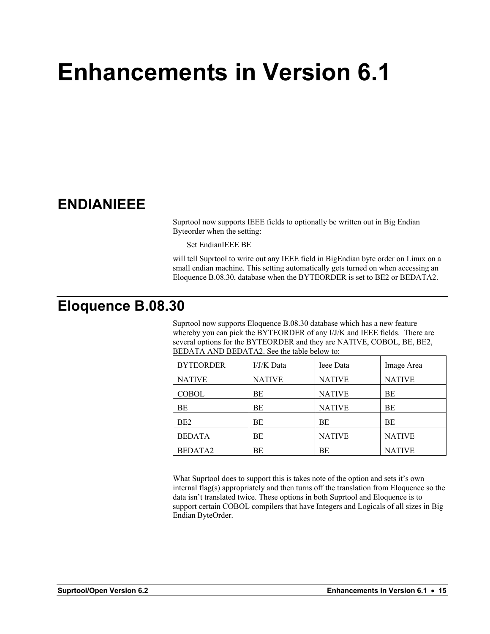## **Enhancements in Version 6.1**

#### **ENDIANIEEE**

Suprtool now supports IEEE fields to optionally be written out in Big Endian Byteorder when the setting:

Set EndianIEEE BE

will tell Suprtool to write out any IEEE field in BigEndian byte order on Linux on a small endian machine. This setting automatically gets turned on when accessing an Eloquence B.08.30, database when the BYTEORDER is set to BE2 or BEDATA2.

#### **Eloquence B.08.30**

Suprtool now supports Eloquence B.08.30 database which has a new feature whereby you can pick the BYTEORDER of any I/J/K and IEEE fields. There are several options for the BYTEORDER and they are NATIVE, COBOL, BE, BE2, BEDATA AND BEDATA2. See the table below to:

| <b>BYTEORDER</b> | I/J/K Data    | Ieee Data     | Image Area    |
|------------------|---------------|---------------|---------------|
| <b>NATIVE</b>    | <b>NATIVE</b> | <b>NATIVE</b> | <b>NATIVE</b> |
| <b>COBOL</b>     | ВE            | <b>NATIVE</b> | ВE            |
| BE               | BE            | <b>NATIVE</b> | BE            |
| BE <sub>2</sub>  | BE            | BE            | BE            |
| <b>BEDATA</b>    | BE            | <b>NATIVE</b> | <b>NATIVE</b> |
| BEDATA2          | BE            | BE            | <b>NATIVE</b> |

What Suprtool does to support this is takes note of the option and sets it's own internal flag(s) appropriately and then turns off the translation from Eloquence so the data isn't translated twice. These options in both Suprtool and Eloquence is to support certain COBOL compilers that have Integers and Logicals of all sizes in Big Endian ByteOrder.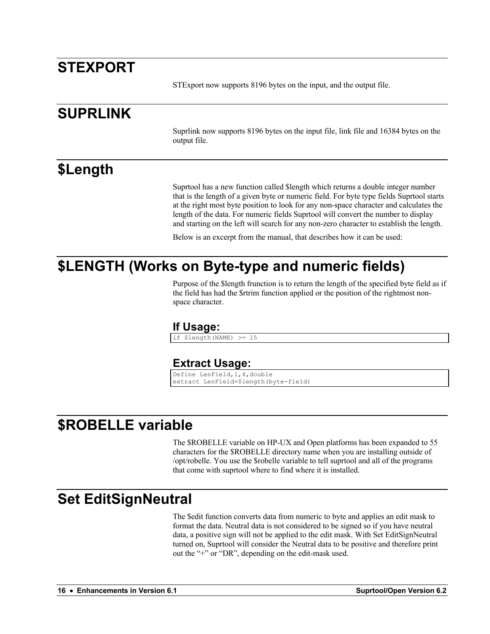#### **STEXPORT**

STExport now supports 8196 bytes on the input, and the output file.

#### **SUPRLINK**

Suprlink now supports 8196 bytes on the input file, link file and 16384 bytes on the output file.

#### **\$Length**

Suprtool has a new function called \$length which returns a double integer number that is the length of a given byte or numeric field. For byte type fields Suprtool starts at the right most byte position to look for any non-space character and calculates the length of the data. For numeric fields Suprtool will convert the number to display and starting on the left will search for any non-zero character to establish the length.

Below is an excerpt from the manual, that describes how it can be used:

#### **\$LENGTH (Works on Byte-type and numeric fields)**

Purpose of the \$length frunction is to return the length of the specified byte field as if the field has had the \$rtrim function applied or the position of the rightmost nonspace character.

#### **If Usage:**

if \$length(NAME) >= 15

#### **Extract Usage:**

Define LenField,1,4,double extract LenField=\$length(byte-field)

#### **\$ROBELLE variable**

The \$ROBELLE variable on HP-UX and Open platforms has been expanded to 55 characters for the \$ROBELLE directory name when you are installing outside of /opt/robelle. You use the \$robelle variable to tell suprtool and all of the programs that come with suprtool where to find where it is installed.

#### **Set EditSignNeutral**

The \$edit function converts data from numeric to byte and applies an edit mask to format the data. Neutral data is not considered to be signed so if you have neutral data, a positive sign will not be applied to the edit mask. With Set EditSignNeutral turned on, Suprtool will consider the Neutral data to be positive and therefore print out the "+" or "DR", depending on the edit-mask used.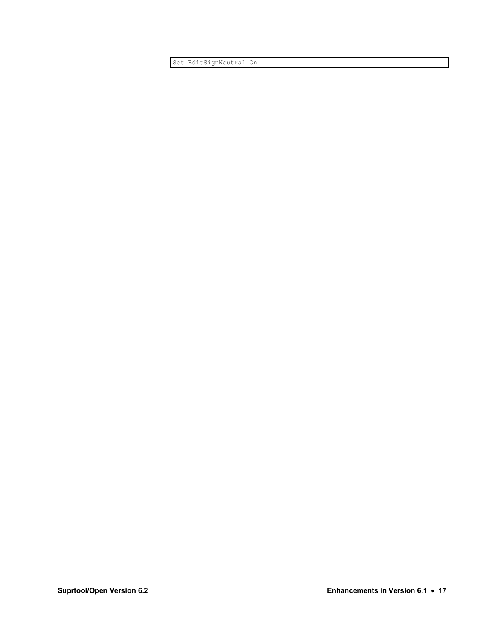Set EditSignNeutral On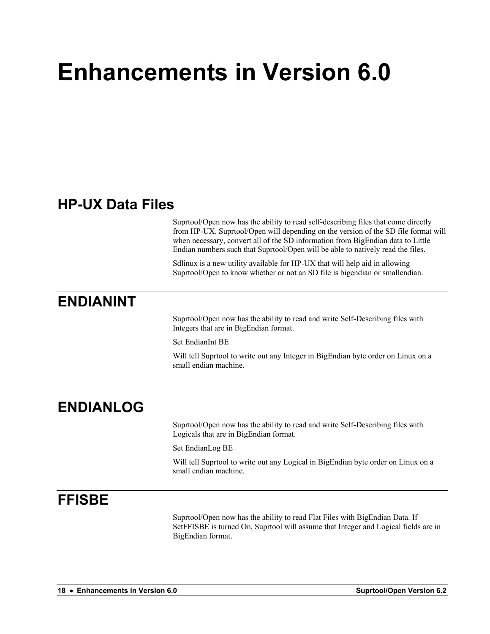## **Enhancements in Version 6.0**

#### **HP-UX Data Files**

Suprtool/Open now has the ability to read self-describing files that come directly from HP-UX. Suprtool/Open will depending on the version of the SD file format will when necessary, convert all of the SD information from BigEndian data to Little Endian numbers such that Suprtool/Open will be able to natively read the files.

Sdlinux is a new utility available for HP-UX that will help aid in allowing Suprtool/Open to know whether or not an SD file is bigendian or smallendian.

#### **ENDIANINT**

Suprtool/Open now has the ability to read and write Self-Describing files with Integers that are in BigEndian format.

Set EndianInt BE

Will tell Suprtool to write out any Integer in BigEndian byte order on Linux on a small endian machine.

#### **ENDIANLOG**

Suprtool/Open now has the ability to read and write Self-Describing files with Logicals that are in BigEndian format.

Set EndianLog BE

Will tell Suprtool to write out any Logical in BigEndian byte order on Linux on a small endian machine.

#### **FFISBE**

Suprtool/Open now has the ability to read Flat Files with BigEndian Data. If SetFFISBE is turned On, Suprtool will assume that Integer and Logical fields are in BigEndian format.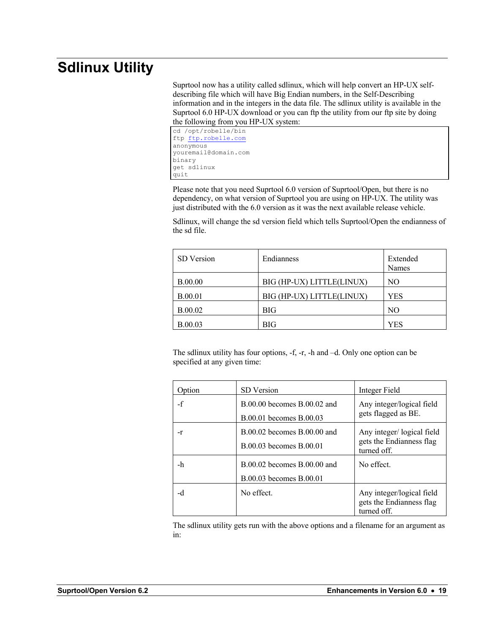### **Sdlinux Utility**

Suprtool now has a utility called sdlinux, which will help convert an HP-UX selfdescribing file which will have Big Endian numbers, in the Self-Describing information and in the integers in the data file. The sdlinux utility is available in the Suprtool 6.0 HP-UX download or you can ftp the utility from our ftp site by doing the following from you HP-UX system:

cd /opt/robelle/bin ftp ftp.robelle.com anonymous youremail@domain.com binary get sdlinux quit

Please note that you need Suprtool 6.0 version of Suprtool/Open, but there is no dependency, on what version of Suprtool you are using on HP-UX. The utility was just distributed with the 6.0 version as it was the next available release vehicle.

Sdlinux, will change the sd version field which tells Suprtool/Open the endianness of the sd file.

| SD Version     | Endianness                | Extended<br>Names |
|----------------|---------------------------|-------------------|
| <b>B.00.00</b> | BIG (HP-UX) LITTLE(LINUX) | NO                |
| <b>B.00.01</b> | BIG (HP-UX) LITTLE(LINUX) | YES               |
| <b>B.00.02</b> | BIG                       | N <sub>O</sub>    |
| <b>B.00.03</b> | BIG                       | YES               |

The sdlinux utility has four options, -f, -r, -h and –d. Only one option can be specified at any given time:

| Option | <b>SD</b> Version                                          | Integer Field                                                        |
|--------|------------------------------------------------------------|----------------------------------------------------------------------|
| $-f$   | $B.00.00$ becomes $B.00.02$ and<br>B.00.01 becomes B.00.03 | Any integer/logical field<br>gets flagged as BE.                     |
| -r     | $B.00.02$ becomes $B.00.00$ and<br>B.00.03 becomes B.00.01 | Any integer/logical field<br>gets the Endianness flag<br>turned off. |
| -h     | $B.00.02$ becomes $B.00.00$ and<br>B.00.03 becomes B.00.01 | No effect.                                                           |
| -d     | No effect.                                                 | Any integer/logical field<br>gets the Endianness flag<br>turned off. |

The sdlinux utility gets run with the above options and a filename for an argument as in: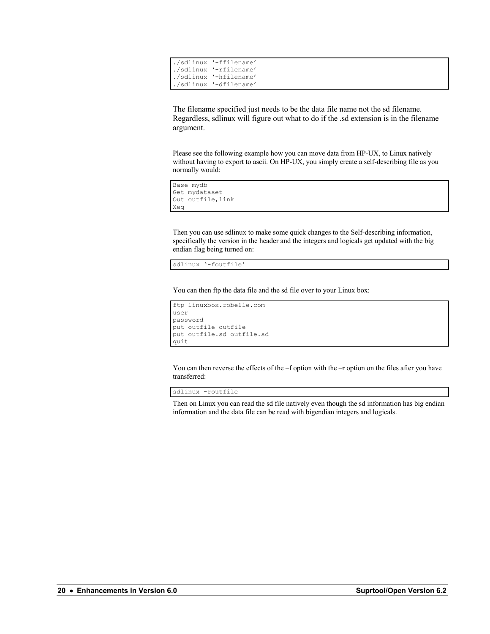| ./sdlinux '-ffilename'                           |
|--------------------------------------------------|
|                                                  |
|                                                  |
| ./sdlinux '-dfilename'                           |
| ./sdlinux '-rfilename'<br>./sdlinux '-hfilename' |

The filename specified just needs to be the data file name not the sd filename. Regardless, sdlinux will figure out what to do if the .sd extension is in the filename argument.

Please see the following example how you can move data from HP-UX, to Linux natively without having to export to ascii. On HP-UX, you simply create a self-describing file as you normally would:

```
Base mydb
Get mydataset
Out outfile,link
Xeq
```
Then you can use sdlinux to make some quick changes to the Self-describing information, specifically the version in the header and the integers and logicals get updated with the big endian flag being turned on:

sdlinux '-foutfile'

You can then ftp the data file and the sd file over to your Linux box:

```
ftp linuxbox.robelle.com
user
password
put outfile outfile
put outfile.sd outfile.sd
quit
```
You can then reverse the effects of the –f option with the –r option on the files after you have transferred:

sdlinux -routfile

Then on Linux you can read the sd file natively even though the sd information has big endian information and the data file can be read with bigendian integers and logicals.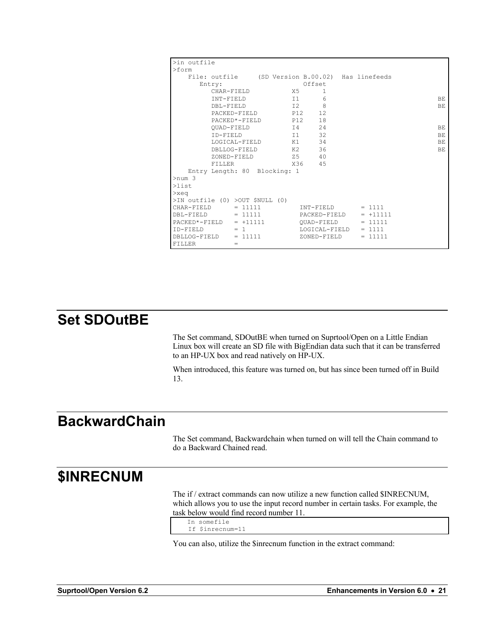| >in outfile                                      |               |     |               |            |     |
|--------------------------------------------------|---------------|-----|---------------|------------|-----|
| $>$ form                                         |               |     |               |            |     |
| File: outfile (SD Version B.00.02) Has linefeeds |               |     |               |            |     |
| Entry:                                           |               |     | Offset        |            |     |
|                                                  | CHAR-FIELD    | X5  | 1             |            |     |
| INT-FIELD                                        |               | 11  | 6             |            | BE  |
| DBL-FIELD                                        |               | I2  | 8             |            | BE. |
|                                                  | PACKED-FIELD  | P12 | 12            |            |     |
|                                                  | PACKED*-FIELD | P12 | 18            |            |     |
|                                                  | OUAD-FIELD    |     | 24<br>I4      |            | BE  |
| TD-FIELD                                         |               | 11  | 32            |            | ВE  |
|                                                  | LOGICAL-FIELD | K1  | 34            |            | BE  |
|                                                  | DBLLOG-FIELD  | K2  | 36            |            | BE  |
|                                                  | ZONED-FIELD   |     | Z5 5<br>40    |            |     |
| FILLER                                           |               |     | X36 45        |            |     |
| Entry Length: 80 Blocking: 1                     |               |     |               |            |     |
| $>$ num 3                                        |               |     |               |            |     |
| $\lambda$ list                                   |               |     |               |            |     |
| $>$ xeq                                          |               |     |               |            |     |
| >IN outfile (0) >OUT \$NULL (0)                  |               |     |               |            |     |
| CHAR-FIELD                                       | $= 11111$     |     | INT-FIELD     | $= 1111$   |     |
| $DBL-FIELD$ = 11111                              |               |     | PACKED-FIELD  | $= +11111$ |     |
| $PACKED*-FIELD = +11111$                         |               |     | OUAD-FIELD    | $= 11111$  |     |
| $ID - FTRID = 1$                                 |               |     | LOGICAL-FIELD | $= 1111$   |     |
| $DBLLOG-FIELD$ = 11111                           |               |     | ZONED-FIELD   | $= 11111$  |     |
| <b>FTLLER</b>                                    | $=$           |     |               |            |     |

### **Set SDOutBE**

The Set command, SDOutBE when turned on Suprtool/Open on a Little Endian Linux box will create an SD file with BigEndian data such that it can be transferred to an HP-UX box and read natively on HP-UX.

When introduced, this feature was turned on, but has since been turned off in Build 13.

#### **BackwardChain**

The Set command, Backwardchain when turned on will tell the Chain command to do a Backward Chained read.

#### **\$INRECNUM**

The if / extract commands can now utilize a new function called \$INRECNUM, which allows you to use the input record number in certain tasks. For example, the task below would find record number 11.

```
In somefile
 If $inrecnum=11
```
You can also, utilize the \$inrecnum function in the extract command: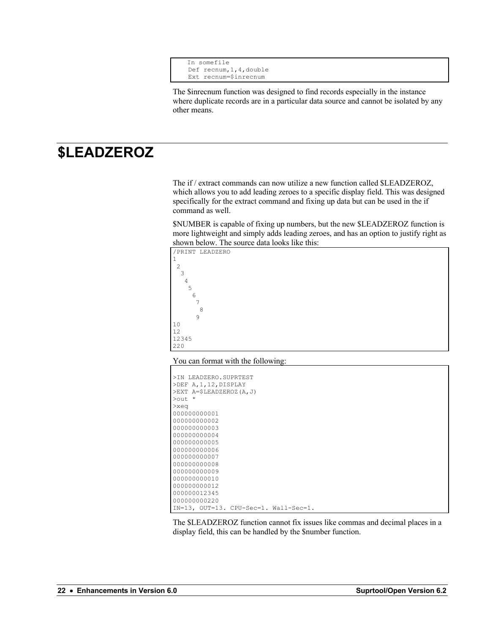```
In somefile
 Def recnum,1,4,double
 Ext recnum=$inrecnum
```
The \$inrecnum function was designed to find records especially in the instance where duplicate records are in a particular data source and cannot be isolated by any other means.

#### **\$LEADZEROZ**

The if / extract commands can now utilize a new function called \$LEADZEROZ, which allows you to add leading zeroes to a specific display field. This was designed specifically for the extract command and fixing up data but can be used in the if command as well.

\$NUMBER is capable of fixing up numbers, but the new \$LEADZEROZ function is more lightweight and simply adds leading zeroes, and has an option to justify right as shown below. The source data looks like this:



#### You can format with the following:

| >IN LEADZERO.SUPRTEST                             |
|---------------------------------------------------|
| >DEF A,1,12,DISPLAY                               |
| >EXT A=\$LEADZEROZ(A,J)                           |
| $\star$<br>$>$ $\circ$ ut.                        |
| $>$ xeq                                           |
| 000000000001                                      |
| 000000000002                                      |
| 000000000003                                      |
| 000000000004                                      |
| 000000000005                                      |
| 000000000006                                      |
| 000000000007                                      |
| 000000000008                                      |
| 000000000009                                      |
| 000000000010                                      |
| 000000000012                                      |
| 000000012345                                      |
| 000000000220                                      |
| $IN=13$ , $OUT=13$ . $CPU-Sec=1$ . $Wall-Sec=1$ . |

The \$LEADZEROZ function cannot fix issues like commas and decimal places in a display field, this can be handled by the \$number function.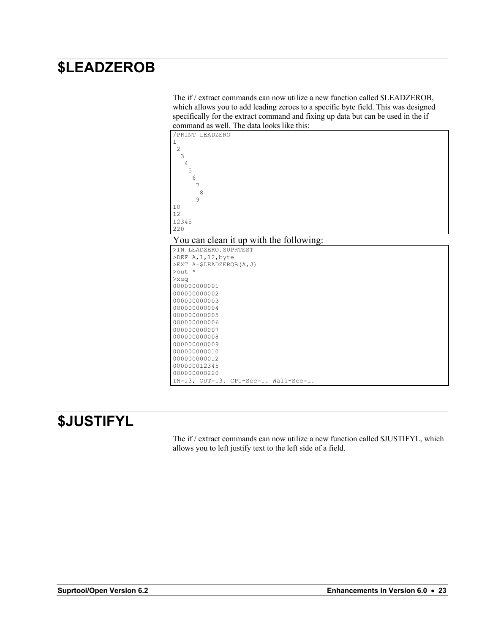#### **\$LEADZEROB**

The if / extract commands can now utilize a new function called \$LEADZEROB, which allows you to add leading zeroes to a specific byte field. This was designed specifically for the extract command and fixing up data but can be used in the if command as well. The data looks like this:





| >IN LEADZERO.SUPRTEST                 |  |  |
|---------------------------------------|--|--|
| >DEF A,1,12,byte                      |  |  |
| >EXT A=\$LEADZEROB(A, J)              |  |  |
| $\text{Out}$ *                        |  |  |
| $>$ xeq                               |  |  |
| 000000000001                          |  |  |
| 00000000002                           |  |  |
| 000000000003                          |  |  |
| 000000000004                          |  |  |
| 000000000005                          |  |  |
| 000000000006                          |  |  |
| 000000000007                          |  |  |
| 000000000008                          |  |  |
| 000000000009                          |  |  |
| 000000000010                          |  |  |
| 000000000012                          |  |  |
| 000000012345                          |  |  |
| 000000000220                          |  |  |
| IN=13, OUT=13. CPU-Sec=1. Wall-Sec=1. |  |  |

### **\$JUSTIFYL**

The if / extract commands can now utilize a new function called \$JUSTIFYL, which allows you to left justify text to the left side of a field.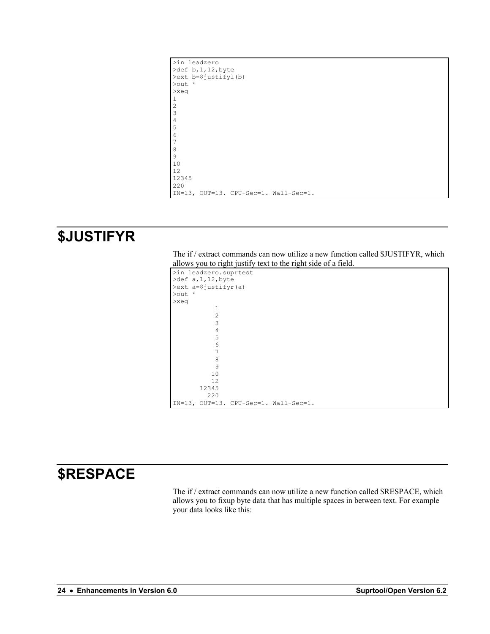| >in leadzero                          |
|---------------------------------------|
| $\text{def } b, 1, 12, \text{byte}$   |
| >ext b=\$justifyl(b)                  |
| $\text{Out}$ *                        |
| $>$ xeq                               |
|                                       |
| $\overline{c}$                        |
| 3                                     |
| $\overline{4}$                        |
| 5                                     |
| 6                                     |
| 7                                     |
| 8                                     |
| 9                                     |
| 10                                    |
| 12                                    |
| 12345                                 |
| 220                                   |
| IN=13, OUT=13. CPU-Sec=1. Wall-Sec=1. |
|                                       |

#### **\$JUSTIFYR**

The if / extract commands can now utilize a new function called \$JUSTIFYR, which allows you to right justify text to the right side of a field.

|         | >in leadzero.suprtest |                                       |
|---------|-----------------------|---------------------------------------|
|         | >def a, 1, 12, byte   |                                       |
|         | >ext a=\$justifyr(a)  |                                       |
| >out *  |                       |                                       |
| $>$ xeq |                       |                                       |
|         | $\mathbf{1}$          |                                       |
|         | $\overline{2}$        |                                       |
|         | 3                     |                                       |
|         | $\overline{4}$        |                                       |
|         | 5                     |                                       |
|         | 6                     |                                       |
|         | 7                     |                                       |
|         | 8                     |                                       |
|         | 9                     |                                       |
|         | 10                    |                                       |
|         | 12                    |                                       |
|         | 12345                 |                                       |
|         | 220                   |                                       |
|         |                       | IN=13, OUT=13. CPU-Sec=1. Wall-Sec=1. |

#### **\$RESPACE**

The if / extract commands can now utilize a new function called \$RESPACE, which allows you to fixup byte data that has multiple spaces in between text. For example your data looks like this: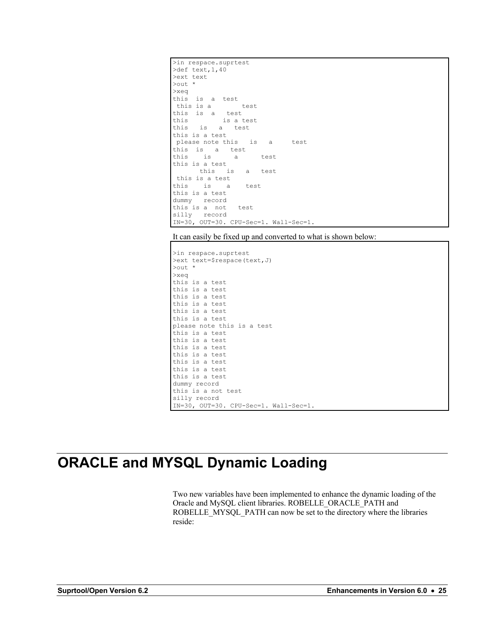```
>in respace.suprtest
>def text,1,40
>ext text
>out *
>xeq
this is a test
 this is a test
this is a test
this is a test
this is a test
this is a test
please note this is a test
this is a test
this is a test
this is a test
      this is a test
this is a test
          a test
this is a test
dummy record
this is a not test
silly record
IN=30, OUT=30. CPU-Sec=1. Wall-Sec=1.
```
It can easily be fixed up and converted to what is shown below:

```
>in respace.suprtest
>ext text=$respace(text,J)
>out *
>xeq
this is a test
this is a test
this is a test
this is a test
this is a test
this is a test
please note this is a test
this is a test
this is a test
this is a test
this is a test
this is a test
this is a test
this is a test
dummy record
this is a not test
silly record
IN=30, OUT=30. CPU-Sec=1. Wall-Sec=1.
```
### **ORACLE and MYSQL Dynamic Loading**

Two new variables have been implemented to enhance the dynamic loading of the Oracle and MySQL client libraries. ROBELLE\_ORACLE\_PATH and ROBELLE\_MYSQL\_PATH can now be set to the directory where the libraries reside: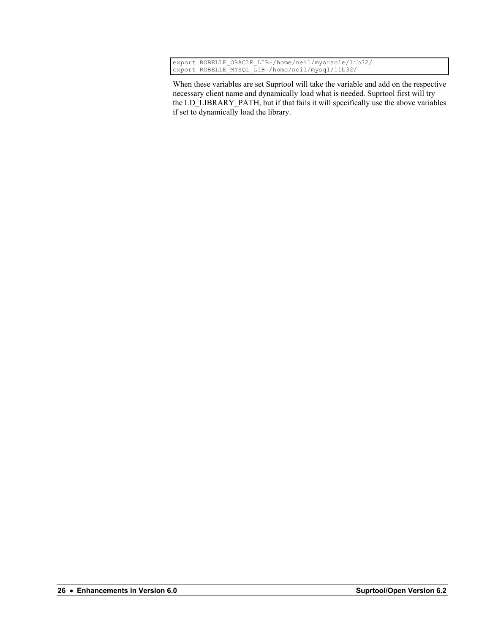|  | export ROBELLE ORACLE LIB=/home/neil/myoracle/lib32/ |
|--|------------------------------------------------------|
|  | export ROBELLE MYSQL LIB=/home/neil/mysql/lib32/     |

When these variables are set Suprtool will take the variable and add on the respective necessary client name and dynamically load what is needed. Suprtool first will try the LD\_LIBRARY\_PATH, but if that fails it will specifically use the above variables if set to dynamically load the library.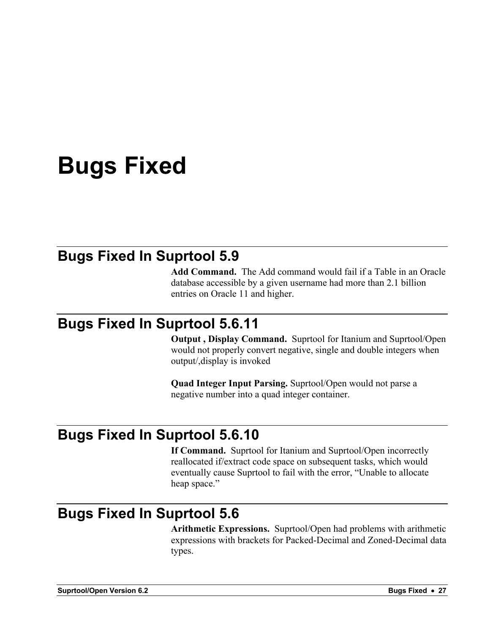### **Bugs Fixed**

#### **Bugs Fixed In Suprtool 5.9**

**Add Command.** The Add command would fail if a Table in an Oracle database accessible by a given username had more than 2.1 billion entries on Oracle 11 and higher.

#### **Bugs Fixed In Suprtool 5.6.11**

**Output , Display Command.** Suprtool for Itanium and Suprtool/Open would not properly convert negative, single and double integers when output/,display is invoked

**Quad Integer Input Parsing.** Suprtool/Open would not parse a negative number into a quad integer container.

#### **Bugs Fixed In Suprtool 5.6.10**

**If Command.** Suprtool for Itanium and Suprtool/Open incorrectly reallocated if/extract code space on subsequent tasks, which would eventually cause Suprtool to fail with the error, "Unable to allocate heap space."

#### **Bugs Fixed In Suprtool 5.6**

**Arithmetic Expressions.** Suprtool/Open had problems with arithmetic expressions with brackets for Packed-Decimal and Zoned-Decimal data types.